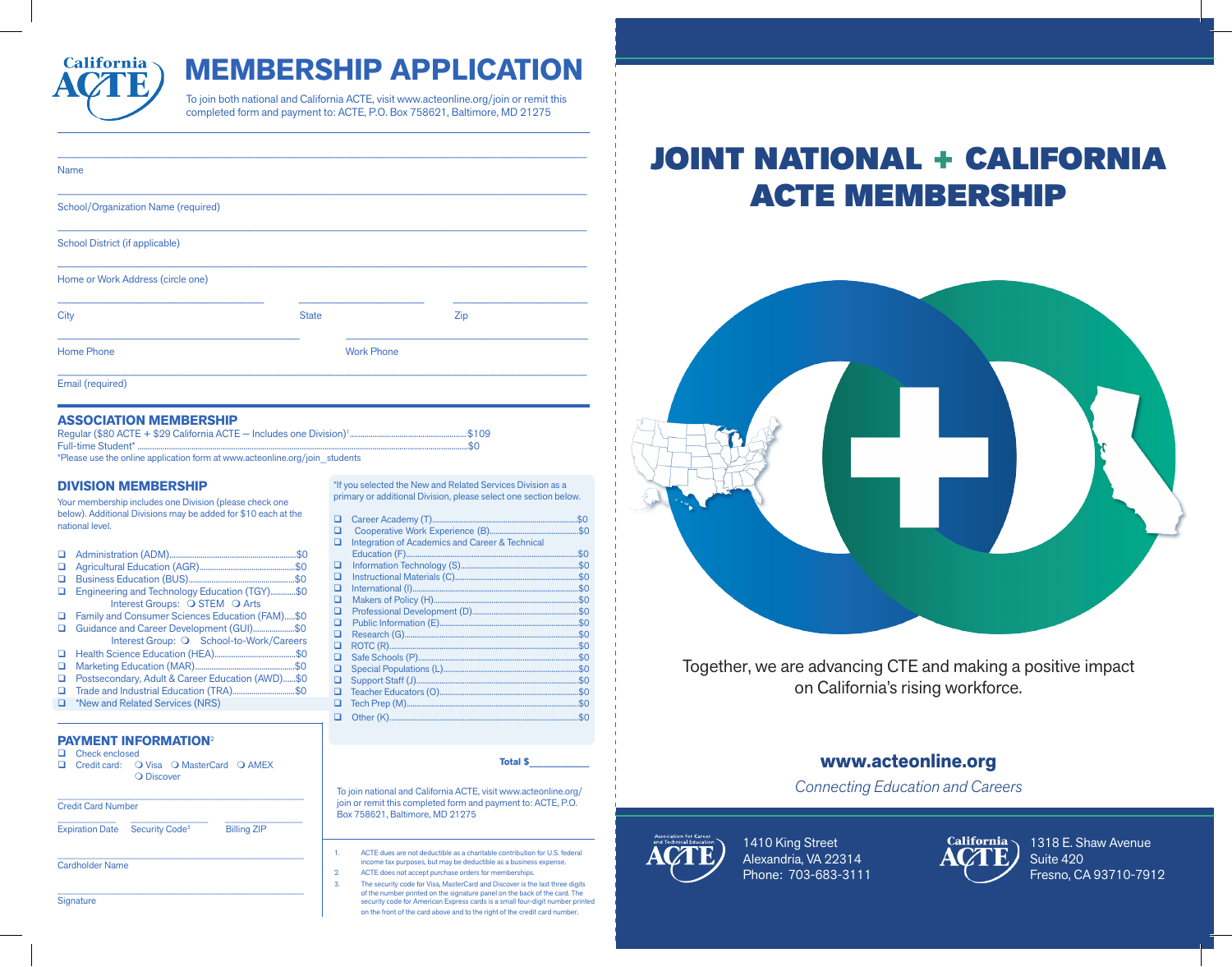

## **MEMBERSHIP APPLICATION**

To join both national and California ACTE, visit www.acteonline.org/join or remit this completed form and payment to: ACTE, P.O. Box 758621, Baltimore, MD 21275

| <b>Name</b>                         |                   |     |  |
|-------------------------------------|-------------------|-----|--|
| School/Organization Name (required) |                   |     |  |
| School District (if applicable)     |                   |     |  |
| Home or Work Address (circle one)   |                   |     |  |
| City                                | <b>State</b>      | Zip |  |
| <b>Home Phone</b>                   | <b>Work Phone</b> |     |  |
| Email (required)                    |                   |     |  |

#### **ASSOCIATION MEMBERSHIP**

Regular (\$80 ACTE + \$29 California ACTE — Includes one Division)1 ......................................................... \$109 Full-time Student\* ...............................................................................................................................................................\$0

\*Please use the online application form at www.acteonline.org/join\_students

#### **DIVISION MEMBERSHIP**

Your membership includes one Division (please check one below). Additional Divisions may be added for \$10 each at the national level.

- Administration (ADM).............................................................\$0
- Agricultural Education (AGR)..............................................\$0 Business Education (BUS)...................................................\$0
- Engineering and Technology Education (TGY)............\$0 Interest Groups:  $\overline{O}$  STEM  $\overline{O}$  Arts
- Family and Consumer Sciences Education (FAM).....\$0 Guidance and Career Development (GUI).........................\$0
- Interest Group: O School-to-Work/Careers
- Health Science Education (HEA).......................................\$0 **Q** Marketing Education (MAR)....
- Postsecondary, Adult & Career Education (AWD)......\$0
- Trade and Industrial Education (TRA)..............................\$0
- \*New and Related Services (NRS)

#### **PAYMENT INFORMATION**<sup>2</sup>

- **Q** Check enclosed
- Credit card: O Visa O MasterCard O AMEX **O** Discover

 $\mathcal{L}_\text{max}$  and  $\mathcal{L}_\text{max}$  and  $\mathcal{L}_\text{max}$  and  $\mathcal{L}_\text{max}$  and  $\mathcal{L}_\text{max}$ 

\_\_\_\_\_\_\_\_\_\_\_\_\_\_\_\_\_\_\_\_\_\_\_\_\_\_\_\_\_\_\_\_\_\_\_\_\_\_

| <b>Credit Card Number</b> |                            |                    |  |  |  |  |
|---------------------------|----------------------------|--------------------|--|--|--|--|
| <b>Expiration Date</b>    | Security Code <sup>3</sup> | <b>Billing ZIP</b> |  |  |  |  |

Cardholder Name

**Signature** 

\*If you selected the New and Related Services Division as a primary or additional Division, please select one section below.

|   | 01 aaannottal Bittiolofii pioaoo ooloot ohio ooonoli bolotti |     |  |
|---|--------------------------------------------------------------|-----|--|
| □ |                                                              | \$0 |  |
| ◻ |                                                              | \$0 |  |
| ◻ | <b>Integration of Academics and Career &amp; Technical</b>   |     |  |
|   | Education (F)                                                | \$0 |  |
| □ |                                                              | \$0 |  |
| ◻ |                                                              | \$0 |  |
| ◻ |                                                              | \$0 |  |
| ◻ |                                                              | \$0 |  |
| ◻ |                                                              | \$0 |  |
| ◻ |                                                              | \$0 |  |
| ◻ |                                                              | \$0 |  |
| ◻ |                                                              | \$0 |  |
| ◻ |                                                              | \$0 |  |
| □ |                                                              | \$0 |  |
| □ |                                                              | \$0 |  |
| ◻ |                                                              | \$0 |  |
| п |                                                              | \$0 |  |
|   |                                                              |     |  |

**Total \$\_\_\_\_\_\_\_\_\_**

To join national and California ACTE, visit www.acteonline.org/ join or remit this completed form and payment to: ACTE, P.O. Box 758621, Baltimore, MD 21275

Other (K)..................................................................................................\$0

- 1. ACTE dues are not deductible as a charitable contribution for U.S. federal income tax purposes, but may be deductible as a business expense.
- 2. ACTE does not accept purchase orders for memberships.
- 3. The security code for Visa, MasterCard and Discover is the last three digits of the number printed on the signature panel on the back of the card. The security code for American Express cards is a small four-digit number printed on the front of the card above and to the right of the credit card number.

# JOINT NATIONAL + CALIFORNIA ACTE MEMBERSHIP



Together, we are advancing CTE and making a positive impact on California's rising workforce.

## **www.acteonline.org**

*Connecting Education and Careers*



1410 King Street Alexandria, VA 22314 Phone: 703-683-3111



1318 E. Shaw Avenue Suite 420 Fresno, CA 93710-7912